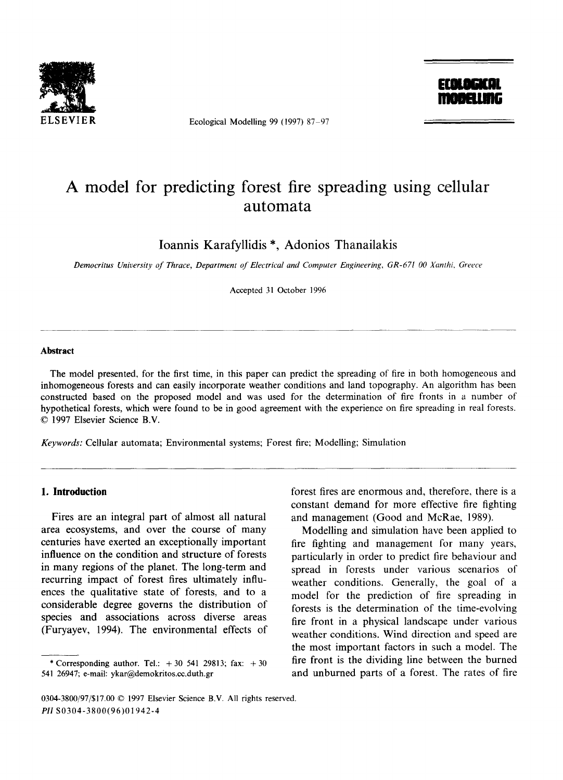

Ecological Modelling 99 (1997) 87 $-97$ 



# **A model for predicting forest fire spreading using cellular automata**

Ioannis Karafyllidis \*, Adonios Thanailakis

*Democritus University of Thrace, Department of Electrical and Computer Engineering, GR-671 O0 Xanthi, Greece* 

Accepted 31 October 1996

#### **Abstract**

The model presented, for the first time, in this paper can predict the spreading of fire in both homogeneous and inhomogeneous forests and can easily incorporate weather conditions and land topography. An algorithm has been constructed based on the proposed model and was used for the determination of fire fronts in a number of hypothetical forests, which were found to be in good agreement with the experience on fire spreading in real forests. © 1997 Elsevier Science B.V.

*Keywords:* Cellular automata; Environmental systems; Forest fire; Modelling; Simulation

### **1. Introduction**

Fires are an integral part of almost all natural area ecosystems, and over the course of many centuries have exerted an exceptionally important influence on the condition and structure of forests in many regions of the planet. The long-term and recurring impact of forest fires ultimately influences the qualitative; state of forests, and to a considerable degree governs the distribution of species and associations across diverse areas (Furyayev, 1994). The environmental effects of forest fires are enormous and, therefore, there is a constant demand for more effective fire fighting and management (Good and McRae, 1989).

Modelling and simulation have been applied to fire fighting and management for many years, particularly in order to predict fire behaviour and spread in forests under various scenarios of weather conditions. Generally, the goal of a model for the prediction of fire spreading in forests is the determination of the time-evolving fire front in a physical landscape under various weather conditions. Wind direction and speed are the most important factors in such a model. The fire front is the dividing line between the burned and unburned parts of a forest. The rates of fire

<sup>\*</sup> Corresponding author. Tel.:  $+30$  541 29813; fax:  $+30$ 541 26947; e-mail: ykar@demokritos.cc.duth.gr

<sup>0304-3800/97/\$17.00 © 1997</sup> Elsevier Science B.V. All rights reserved. *PII* S0304-3800(96)01942-4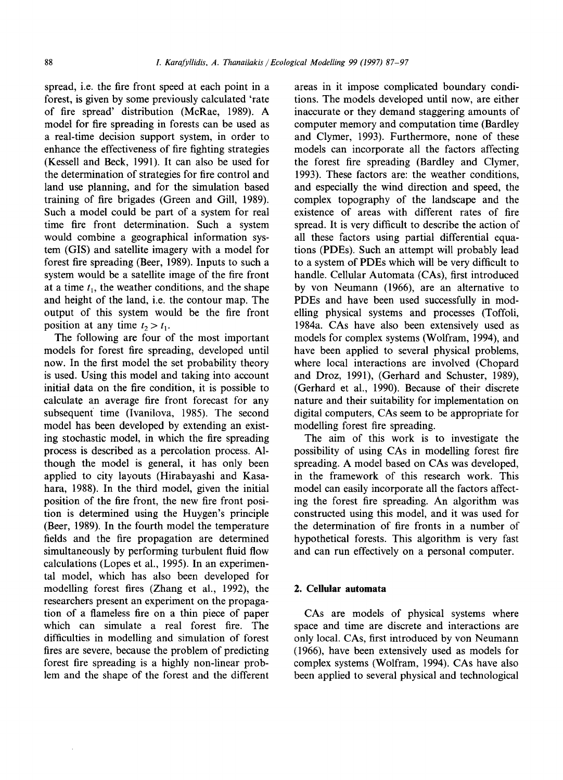spread, i.e. the fire front speed at each point in a forest, is given by some previously calculated 'rate of fire spread' distribution (McRae, 1989). A model for fire spreading in forests can be used as a real-time decision support system, in order to enhance the effectiveness of fire fighting strategies (Kessell and Beck, 1991). It can also be used for the determination of strategies for fire control and land use planning, and for the simulation based training of fire brigades (Green and Gill, 1989). Such a model could be part of a system for real time fire front determination. Such a system would combine a geographical information system (GIS) and satellite imagery with a model for forest fire spreading (Beer, 1989). Inputs to such a system would be a satellite image of the fire front at a time  $t_1$ , the weather conditions, and the shape and height of the land, i.e. the contour map. The output of this system would be the fire front position at any time  $t_2 > t_1$ .

The following are four of the most important models for forest fire spreading, developed until now. In the first model the set probability theory is used. Using this model and taking into account initial data on the fire condition, it is possible to calculate an average fire front forecast for any subsequent time (Ivanilova, 1985). The second model has been developed by extending an existing stochastic model, in which the fire spreading process is described as a percolation process. Although the model is general, it has only been applied to city layouts (Hirabayashi and Kasahara, t988). In the third model, given the initial position of the fire front, the new fire front position is determined using the Huygen's principle (Beer, 1989). In the fourth model the temperature fields and the fire propagation are determined simultaneously by performing turbulent fluid flow calculations (Lopes et al., 1995). In an experimental model, which has also been developed for modelling forest fires (Zhang et al., 1992), the researchers present an experiment on the propagation of a flameless fire on a thin piece of paper which can simulate a real forest fire. The difficulties in modelling and simulation of forest fires are severe, because the problem of predicting forest fire spreading is a highly non-linear problem and the shape of the forest and the different

areas in it impose complicated boundary conditions. The models developed until now, are either inaccurate or they demand staggering amounts of computer memory and computation time (Bardley and Clymer, 1993). Furthermore, none of these models can incorporate all the factors affecting the forest fire spreading (Bardley and Clymer, 1993). These factors are: the weather conditions, and especially the wind direction and speed, the complex topography of the landscape and the existence of areas with different rates of fire spread. It is very difficult to describe the action of all these factors using partial differential equations (PDEs). Such an attempt will probably lead to a system of PDEs which will be very difficult to handle. Cellular Automata (CAs), first introduced by von Neumann (1966), are an alternative to PDEs and have been used successfully in modelling physical systems and processes (Toffoli, 1984a. CAs have also been extensively used as models for complex systems (Wolfram, 1994), and have been applied to several physical problems, where local interactions are involved (Chopard and Droz, 1991), (Gerhard and Schuster, 1989), (Gerhard et al., 1990). Because of their discrete nature and their suitability for implementation on digital computers, CAs seem to be appropriate for modelling forest fire spreading.

The aim of this work is to investigate the possibility of using CAs in modelling forest fire spreading. A model based on CAs was developed, in the framework of this research work. This model can easily incorporate all the factors affecting the forest fire spreading. An algorithm was constructed using this model, and it was used for the determination of fire fronts in a number of hypothetical forests. This algorithm is very fast and can run effectively on a personal computer.

# **2. Cellular automata**

CAs are models of physical systems where space and time are discrete and interactions are only local. CAs, first introduced by von Neumann (1966), have been extensively used as models for complex systems (Wolfram, 1994). CAs have also been applied to several physical and technological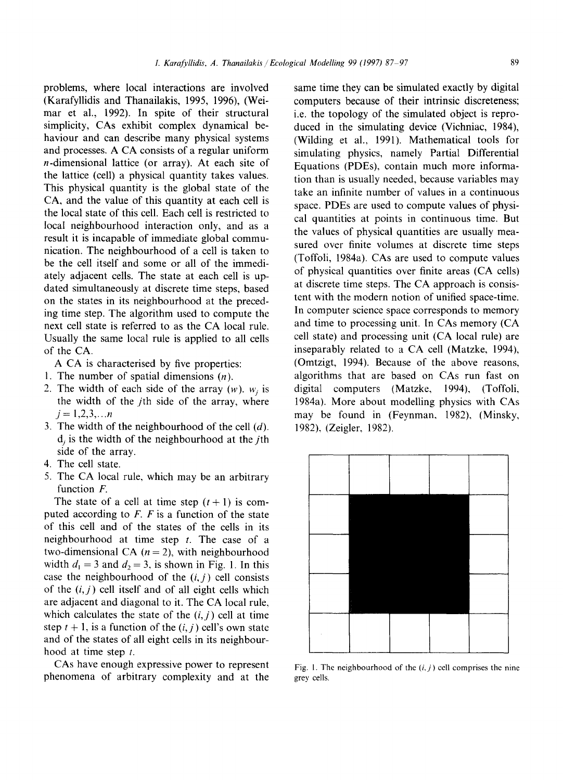problems, where local interactions are involved (Karafyllidis and Thanailakis, 1995, 1996), (Weimar et al., 1992). In spite of their structural simplicity, CAs exhibit complex dynamical behaviour and can describe many physical systems and processes. A CA consists of a regular uniform n-dimensional lattice (or array). At each site of the lattice (cell) a physical quantity takes values. This physical quantity is the global state of the CA, and the value of this quantity at each cell is the local state of this cell. Each cell is restricted to local neighbourhood interaction only, and as a result it is incapable of immediate global communication. The neighbourhood of a cell is taken to be the cell itself and some or all of the immediately adjacent cells. The state at each cell is updated simultaneously at discrete time steps, based on the states in its neighbourhood at the preceding time step. The algorithm used to compute the next cell state is referred to as the CA local rule. Usually the same local rule is applied to all cells of the CA.

A CA is characterised by five properties:

- 1. The number of spatial dimensions  $(n)$ .
- 2. The width of each side of the array  $(w)$ .  $w_i$  is the width of the jth side of the array, where  $j = 1, 2, 3, \ldots n$
- 3. The width of the neighbourhood of the cell  $(d)$ .  $d_i$  is the width of the neighbourhood at the *j*th side of the array.
- 4. The cell state.
- 5. The CA local rule, which may be an arbitrary function F.

The state of a cell at time step  $(t + 1)$  is computed according to  $F$ .  $F$  is a function of the state of this cell and of the states of the cells in its neighbourhood at time step  $t$ . The case of a two-dimensional CA  $(n = 2)$ , with neighbourhood width  $d_1 = 3$  and  $d_2 = 3$ , is shown in Fig. 1. In this case the neighbourhood of the  $(i, j)$  cell consists of the  $(i, j)$  cell itself and of all eight cells which are adjacent and diagonal to it. The CA local rule, which calculates the state of the  $(i, j)$  cell at time step  $t + 1$ , is a function of the  $(i, j)$  cell's own state and of the states of all eight cells in its neighbourhood at time step  $t$ .

CAs have enough expressive power to represent phenomena of arbitrary complexity and at the

same time they can be simulated exactly by digital computers because of their intrinsic discreteness; i.e. the topology of the simulated object is reproduced in the simulating device (Vichniac, 1984), (Wilding et al., 1991). Mathematical tools for simulating physics, namely Partial Differential Equations (PDEs), contain much more information than is usually needed, because variables may take an infinite number of values in a continuous space. PDEs are used to compute values of physical quantities at points in continuous time. But the values of physical quantities are usually measured over finite volumes at discrete time steps (Toffoli, 1984a). CAs are used to compute values of physical quantities over finite areas (CA cells) at discrete time steps. The CA approach is consistent with the modern notion of unified space-time. In computer science space corresponds to memory and time to processing unit. In CAs memory (CA cell state) and processing unit (CA local rule) are inseparably related to a CA cell (Matzke, 1994), (Omtzigt, 1994). Because of the above reasons, algorithms that are based on CAs run fast on digital computers (Matzke, 1994), (Toffoli, 1984a). More about modelling physics with CAs may be found in (Feynman, 1982), (Minsky, 1982), (Zeigler, 1982).



Fig. 1. The neighbourhood of the  $(i, j)$  cell comprises the nine grey cells.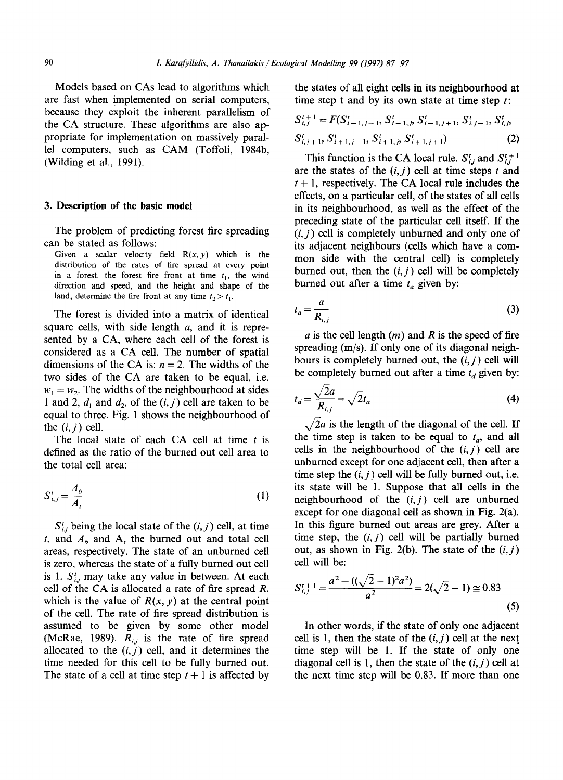Models based on CAs lead to algorithms which are fast when implemented on serial computers, because they exploit the inherent parallelism of the CA structure. These algorithms are also appropriate for implementation on massively parallel computers, such as CAM (Toffoli, 1984b, (Wilding et al., 1991).

#### **3. Description of the basic model**

The problem of predicting forest fire spreading can be stated as follows:

Given a scalar velocity field  $R(x, y)$  which is the distribution of the rates of fire spread at every point in a forest, the forest fire front at time  $t_1$ , the wind direction and speed, and the height and shape of the land, determine the fire front at any time  $t_2 > t_1$ .

The forest is divided into a matrix of identical square cells, with side length  $a$ , and it is represented by a CA, where each cell of the forest is considered as a CA cell. The number of spatial dimensions of the CA is:  $n = 2$ . The widths of the two sides of the CA are taken to be equal, i.e.  $w_1 = w_2$ . The widths of the neighbourhood at sides 1 and 2,  $d_1$  and  $d_2$ , of the  $(i, j)$  cell are taken to be equal to three. Fig. 1 shows the neighbourhood of the  $(i, j)$  cell.

The local state of each CA cell at time  $t$  is defined as the ratio of the burned out cell area to the total cell area:

$$
S_{i,j}^t = \frac{A_b}{A_t} \tag{1}
$$

 $S_{i,j}^i$  being the local state of the  $(i, j)$  cell, at time t, and  $A_b$  and  $A_t$  the burned out and total cell areas, respectively. The state of an unburned cell is zero, whereas the state of a fully burned out cell is 1.  $S_{i,j}^t$  may take any value in between. At each cell of the CA is allocated a rate of fire spread  $R$ , which is the value of  $R(x, y)$  at the central point of the cell. The rate of fire spread distribution is assumed to be given by some other model (McRae, 1989).  $R_{i,j}$  is the rate of fire spread allocated to the  $(i, j)$  cell, and it determines the time needed for this cell to be fully burned out. The state of a cell at time step  $t + 1$  is affected by the states of all eight cells in its neighbourhood at time step t and by its own state at time step  $t$ :

$$
S_{i,j}^{t+1} = F(S_{i-1,j-1}^t, S_{i-1,j}^t, S_{i-1,j+1}^t, S_{i,j-1}^t, S_{i,j}^t)
$$
  

$$
S_{i,j+1}^t, S_{i+1,j-1}^t, S_{i+1,j}^t, S_{i+1,j+1}^t)
$$
 (2)

This function is the CA local rule.  $S_{i,j}^t$  and  $S_{i,j}^{t+1}$ are the states of the  $(i, j)$  cell at time steps t and  $t + 1$ , respectively. The CA local rule includes the effects, on a particular cell, of the states of all cells in its neighbourhood, as well as the effect of the preceding state of the particular cell itself. If the *(i,j)* cell is completely unburned and only one of its adjacent neighbours (cells which have a common side with the central cell) is completely burned out, then the  $(i, j)$  cell will be completely burned out after a time  $t_a$  given by:

$$
t_a = \frac{a}{R_{i,j}}\tag{3}
$$

a is the cell length  $(m)$  and R is the speed of fire spreading (m/s). If only one of its diagonal neighbours is completely burned out, the *(i, j)* cell will be completely burned out after a time  $t_d$  given by:

$$
t_d = \frac{\sqrt{2a}}{R_{i,j}} = \sqrt{2}t_a \tag{4}
$$

 $\sqrt{2}a$  is the length of the diagonal of the cell. If the time step is taken to be equal to  $t_a$ , and all cells in the neighbourhood of the  $(i, j)$  cell are unburned except for one adjacent cell, then after a time step the  $(i, j)$  cell will be fully burned out, i.e. its state will be 1. Suppose that all cells in the neighbourhood of the  $(i, j)$  cell are unburned except for one diagonal cell as shown in Fig. 2(a). In this figure burned out areas are grey. After a time step, the  $(i, j)$  cell will be partially burned out, as shown in Fig. 2(b). The state of the  $(i, j)$ cell will be:

$$
S_{i,j}^{t+1} = \frac{a^2 - ((\sqrt{2} - 1)^2 a^2)}{a^2} = 2(\sqrt{2} - 1) \approx 0.83
$$
\n(5)

In other words, if the state of only one adjacent cell is 1, then the state of the  $(i, j)$  cell at the next. time step will be 1. If the state of only one diagonal cell is 1, then the state of the *(i,j)* cell at the next time step will be 0.83. If more than one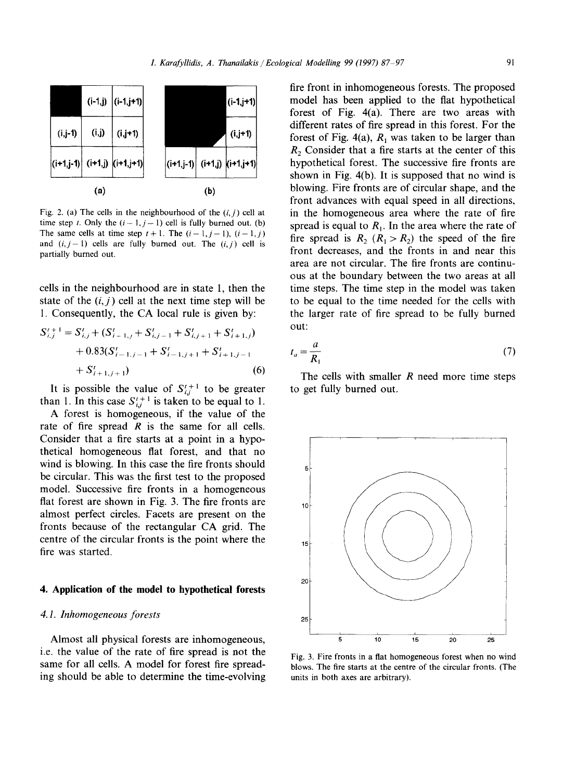

Fig. 2. (a) The cells in the neighbourhood of the  $(i, j)$  cell at time step t. Only the  $(i - 1, j - 1)$  cell is fully burned out. (b) The same cells at time step  $t+1$ . The  $(i-1,j-1)$ ,  $(i-1,j)$ and  $(i, j-1)$  cells are fully burned out. The  $(i, j)$  cell is partially burned out.

cells in the neighbourhood are in state 1, then the state of the  $(i, j)$  cell at the next time step will be 1. Consequently, the CA local rule is given by:

$$
S'_{i,j}^{t+1} = S'_{i,j} + (S'_{i-1,j} + S'_{i,j-1} + S'_{i,j+1} + S'_{i+1,j})
$$
  
+ 0.83(S'\_{i-1,j-1} + S'\_{i-1,j+1} + S'\_{i+1,j-1}  
+ S'\_{i+1,j+1}) \t\t(6)

It is possible the value of  $S_{i,j}^{t+1}$  to be greater than 1. In this case  $S_{i,j}^{t+1}$  is taken to be equal to 1.

A forest is homogeneous, if the value of the rate of fire spread  $R$  is the same for all cells. Consider that a fire starts at a point in a hypothetical homogeneous flat forest, and that no wind is blowing. In this case the fire fronts should be circular. This was the first test to the proposed model. Successive fire fronts in a homogeneous flat forest are shown in Fig. 3. The fire fronts are almost perfect circles. Facets are present on the fronts because of the rectangular CA grid. The centre of the circular fronts is the point where the fire was started.

#### **4. Application of the model to hypothetical forests**

#### *4. I. Inhomogeneous forests*

Almost all physical forests are inhomogeneous, i.e. the value of the rate of fire spread is not the same for all cells. A model for forest fire spreading should be able to determine the time-evolving

fire front in inhomogeneous forests. The proposed model has been applied to the fiat hypothetical forest of Fig, 4(a). There are two areas with different rates of fire spread in this forest. For the forest of Fig. 4(a),  $R_1$  was taken to be larger than  $R<sub>2</sub>$  Consider that a fire starts at the center of this hypothetical forest. The successive fire fronts are shown in Fig. 4(b). It is supposed that no wind is blowing. Fire fronts are of circular shape, and the front advances with equal speed in all directions, in the homogeneous area where the rate of fire spread is equal to  $R_1$ . In the area where the rate of fire spread is  $R_2$  ( $R_1 > R_2$ ) the speed of the fire front decreases, and the fronts in and near this area are not circular. The fire fronts are continuous at the boundary between the two areas at all time steps. The time step in the model was taken to be equal to the time needed for the cells with the larger rate of fire spread to be fully burned out:

$$
t_a = \frac{a}{R_1} \tag{7}
$$

The cells with smaller  *need more time steps* to get fully burned out,



Fig. 3. Fire fronts in a flat homogeneous forest when no wind blows. The fire starts at the centre of the circular fronts. (The units in both axes are arbitrary).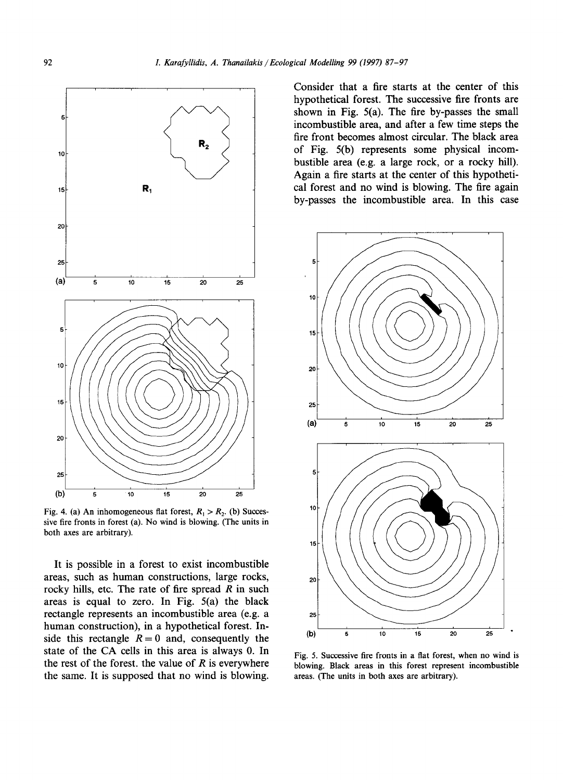

Fig. 4. (a) An inhomogeneous flat forest,  $R_1 > R_2$ . (b) Succes**sive fire fronts in forest** (a). No **wind is blowing. (The units in both axes are arbitrary).** 

**It is possible in a forest to exist incombustible areas, such as human constructions, large rocks, rocky hills, etc. The rate of fire spread R in such areas is equal to zero. In Fig. 5(a) the black rectangle represents an incombustible area (e.g. a human construction), in a hypothetical forest. In**side this rectangle  $R = 0$  and, consequently the **state of the CA cells in this area is always 0. In the rest of the forest, the value of R is everywhere the same. It is supposed that no wind is blowing.** 

**Consider that a fire starts at the center of this hypothetical forest. The successive fire fronts are shown in Fig. 5(a). The fire by-passes the small incombustible area, and after a few time steps the fire front becomes almost circular. The black area of Fig. 5(b) represents some physical incombustible area (e.g. a large rock, or a rocky hill). Again a fire starts at the center of this hypothetical forest and no wind is blowing. The fire again by-passes the incombustible area. In this case** 



**Fig. 5. Successive fire fronts in a flat forest, when no wind is blowing. Black areas in this forest represent incombustible areas. (The units in both axes are arbitrary).**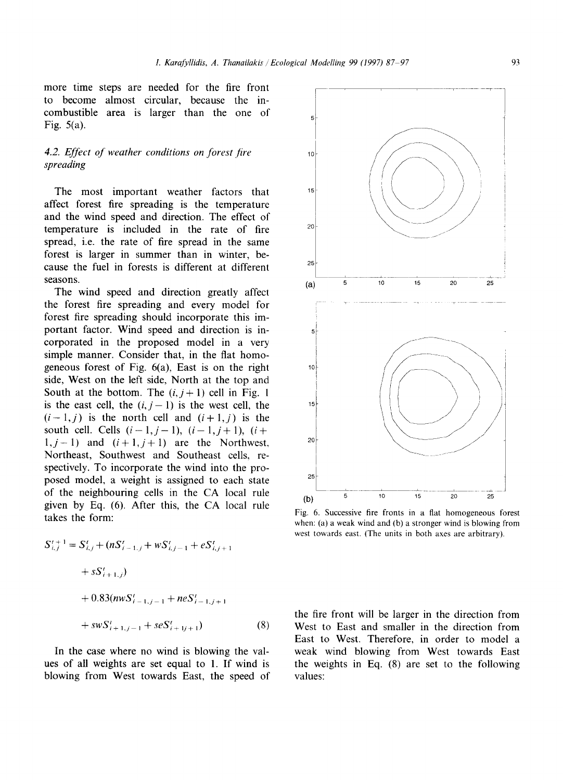more time steps are needed for the fire front to become almost circular, because the incombustible area is larger than the one of Fig. 5(a).

# 4.2. Effect of weather conditions on forest fire *spreading*

The most important weather factors that affect forest fire spreading is the temperature and the wind speed and direction. The effect of temperature is included in the rate of fire spread, i.e. the rate of fire spread in the same forest is larger in summer than in winter, because the fuel in forests is different at different seasons.

The wind speed and direction greatly affect the forest fire spreading and every model for forest fire spreading should incorporate this important factor. Wind speed and direction is incorporated in the proposed model in a very simple manner. Consider that, in the flat homogeneous forest of Fig. 6(a), East is on the right side, West on the left side, North at the top and South at the bottom. The  $(i, j + 1)$  cell in Fig. 1 is the east cell, the  $(i, j-1)$  is the west cell, the  $(i-1,j)$  is the north cell and  $(i+1,j)$  is the south cell. Cells  $(i-1, j-1)$ ,  $(i-1, j+1)$ ,  $(i+$  $1, j-1$ ) and  $(i+1, j+1)$  are the Northwest, Northeast, Southwest and Southeast cells, respectively. To incorporate the wind into the proposed model, a weight is assigned to each state of the neighbouring cells in the CA local rule given by Eq. (6). After this, the CA local rule takes the form:

$$
S_{i,j}^{t+1} = S_{i,j}^{t} + (nS_{i-1,j}^{t} + wS_{i,j-1}^{t} + eS_{i,j+1}^{t})
$$
  
+  $sS_{i+1,j}^{t}$ )  
+ 0.83(*nw*S\_{i-1,j-1}^{t} + neS\_{i-1,j+1}^{t})  
+  $swS_{i+1,j-1}^{t} + seS_{i+1,j+1}^{t}$  (8)

In the case where no wind is blowing the values of all weights are set equal to 1. If wind is blowing from West towards East, the speed of



Fig. 6. Successive fire fronts in a flat homogeneous forest when: (a) a weak wind and (b) a stronger wind is blowing from west towards east. (The units in both axes are arbitrary).

the fire front will be larger in the direction from West to East and smaller in the direction from East to West. Therefore, in order to model a weak wind blowing from West towards East the weights in Eq. (8) are set to the following values: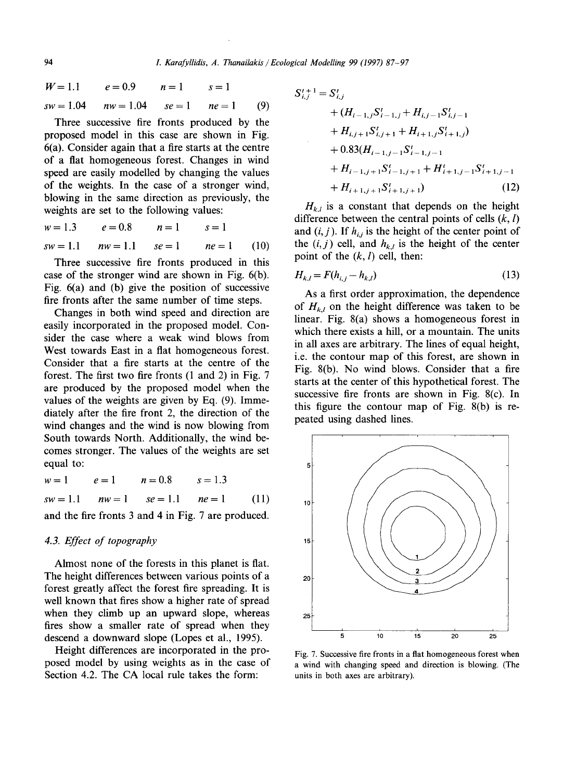$$
W = 1.1 \t e = 0.9 \t n = 1 \t s = 1
$$
  
\n
$$
sw = 1.04 \t nw = 1.04 \t se = 1 \t ne = 1 \t (9)
$$

Three successive fire fronts produced by the proposed model in this case are shown in Fig. 6(a). Consider again that a fire starts at the centre of a fiat homogeneous forest. Changes in wind speed are easily modelled by changing the values of the weights. In the case of a stronger wind, blowing in the same direction as previously, the weights are set to the following values:

$$
w = 1.3
$$
  $e = 0.8$   $n = 1$   $s = 1$   
\n $sw = 1.1$   $nw = 1.1$   $se = 1$   $ne = 1$  (10)

Three successive fire fronts produced in this case of the stronger wind are shown in Fig. 6(b). Fig. 6(a) and (b) give the position of successive fire fronts after the same number of time steps.

Changes in both wind speed and direction are easily incorporated in the proposed model. Consider the case where a weak wind blows from West towards East in a fiat homogeneous forest. Consider that a fire starts at the centre of the forest. The first two fire fronts (1 and 2) in Fig. 7 are produced by the proposed model when the values of the weights are given by Eq. (9). Immediately after the fire front 2, the direction of the wind changes and the wind is now blowing from South towards North. Additionally, the wind becomes stronger. The values of the weights are set equal to:

 $w = 1$   $e = 1$   $n = 0.8$   $s = 1.3$  $sw = 1.1$   $nw = 1$   $se = 1.1$   $ne = 1$  (11)

and the fire fronts 3 and 4 in Fig. 7 are produced.

# *4.3. Effect of topography*

Almost none of the forests in this planet is flat. The height differences between various points of a forest greatly affect the forest fire spreading. It is well known that fires show a higher rate of spread when they climb up an upward slope, whereas fires show a smaller rate of spread when they descend a downward slope (Lopes et al., 1995).

Height differences are incorporated in the proposed model by using weights as in the case of Section 4.2. The CA local rule takes the form:

$$
S_{i,j}^{t+1} = S_{i,j}^{t}
$$
  
+  $(H_{i-1,j}S_{i-1,j}^{t} + H_{i,j-1}S_{i,j-1}^{t}$   
+  $H_{i,j+1}S_{i,j+1}^{t} + H_{i+1,j}S_{i+1,j}^{t})$   
+ 0.83 $(H_{i-1,j-1}S_{i-1,j-1}^{t}$   
+  $H_{i-1,j+1}S_{i-1,j+1}^{t} + H_{i+1,j-1}S_{i+1,j-1}^{t}$   
+  $H_{i+1,j+1}S_{i+1,j+1}^{t}$  (12)

 $H_{k,l}$  is a constant that depends on the height difference between the central points of cells *(k, l)*  and  $(i, j)$ . If  $h_{i,j}$  is the height of the center point of the  $(i, j)$  cell, and  $h_{k,l}$  is the height of the center point of the  $(k, l)$  cell, then:

$$
H_{k,l} = F(h_{i,j} - h_{k,l})
$$
\n(13)

As a first order approximation, the dependence of  $H_{k,l}$  on the height difference was taken to be linear. Fig. 8(a) shows a homogeneous forest in which there exists a hill, or a mountain. The units in all axes are arbitrary. The lines of equal height, i.e. the contour map of this forest, are shown in Fig. 8(b). No wind blows. Consider that a fire starts at the center of this hypothetical forest. The successive fire fronts are shown in Fig. 8(c). In this figure the contour map of Fig. 8(b) is repeated using dashed lines.



Fig. 7. Successive fire fronts in a flat homogeneous forest when a wind with changing speed and direction is blowing. (The units in both axes are arbitrary).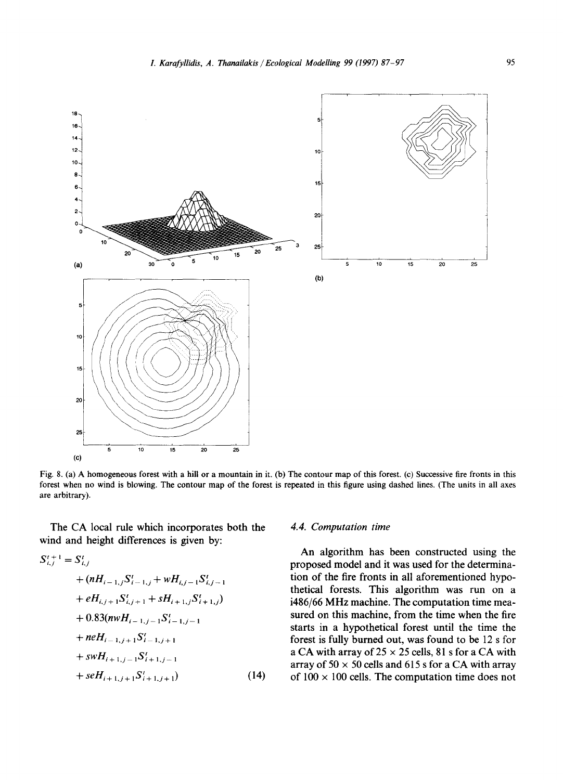

Fig. 8. (a) A homogeneous forest with a hill or a mountain in it. (b) The contour map of this forest. (c) Successive fire fronts in this forest when no wind is blowing. The contour map of the forest is repeated in this figure using dashed lines. (The units in all axes are arbitrary).

The CA local rule which incorporates both the wind and height differences is given by:

$$
S_{i,j}^{t+1} = S_{i,j}^{t}
$$
  
+  $(nH_{i-1,j}S_{i-1,j}^{t} + wH_{i,j-1}S_{i,j-1}^{t}$   
+  $eH_{i,j+1}S_{i,j+1}^{t} + sH_{i+1,j}S_{i+1,j}^{t})$   
+ 0.83 $(nwH_{i-1,j-1}S_{i-1,j-1}^{t}$   
+  $neH_{i-1,j+1}S_{i-1,j+1}^{t}$   
+  $swH_{i+1,j-1}S_{i+1,j-1}^{t}$   
+  $seH_{i+1,j+1}S_{i+1,j+1}^{t}$  (14)

#### *4.4. Computation time*

An algorithm has been constructed using the proposed model and it was used for the determination of the fire fronts in all aforementioned hypothetical forests. This algorithm was run on a i486/66 MHz machine. The computation time measured on this machine, from the time when the fire starts in a hypothetical forest until the time the forest is fully burned out, was found to be 12 s for a CA with array of  $25 \times 25$  cells, 81 s for a CA with array of  $50 \times 50$  cells and  $615$  s for a CA with array of  $100 \times 100$  cells. The computation time does not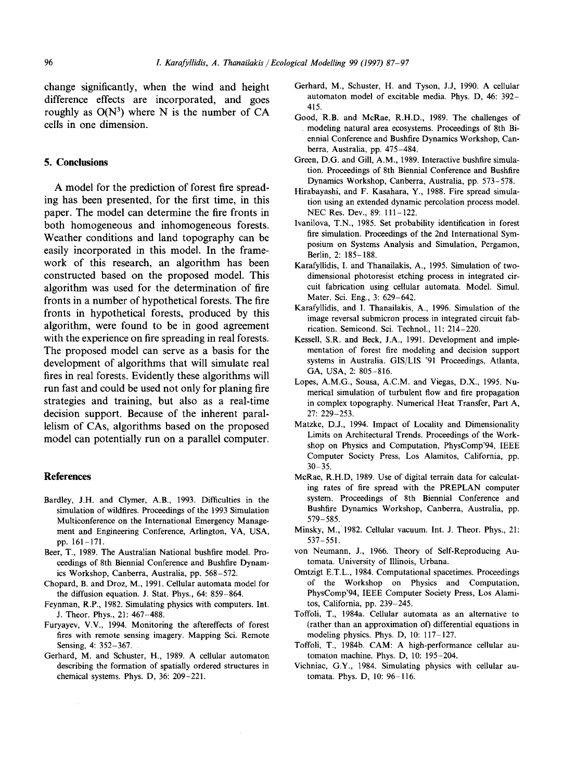**change significantly, when the wind and height difference effects are incorporated, and goes**  roughly as  $O(N^3)$  where N is the number of CA **cells in one dimension.** 

#### **5. Conclusions**

**A model for the prediction of forest fire spreading has been presented, for the first time, in this paper. The model can determine the fire fronts in both homogeneous and inhomogeneous forests. Weather conditions and land topography can be easily incorporated in this model. In the framework of this research, an algorithm has been constructed based on the proposed model. This algorithm was used for the determination of fire fronts in a number of hypothetical forests. The fire fronts in hypothetical forests, produced by this algorithm, were found to be in good agreement with the experience on fire spreading in real forests. The proposed model can serve as a basis for the development of algorithms that will simulate real fires in real forests. Evidently these algorithms will run fast and could be used not only for planing fire strategies and training, but also as a real-time decision support. Because of the inherent parallelism of CAs, algorithms based on the proposed model can potentially run on a parallel computer.** 

#### **References**

- Bardley, J.H. and Clymer, A.B., 1993. Difficulties in the simulation of wildfires. Proceedings of the 1993 Simulation Multiconference on the International Emergency Management and Engineering Conference, Arlington, VA, USA, pp. 161-171.
- Beer, T., 1989. The Australian National bushfire model. Proceedings of 8th Biennial Conference and Bushfire Dynamics Workshop, Canberra, Australia, pp. 568-572.
- Chopard, B. and Droz, M., 1991. Cellular automata model for the diffusion equation. J. Stat. Phys., 64: 859-864.
- Feynman, R.P., 1982. Simulating physics with computers. Int. J. Theor. Phys., 21: 467-488.
- Furyayev, V.V., 1994. Monitoring the aftereffects of forest fires with remote sensing imagery. Mapping Sci. Remote Sensing, 4: 352-367.
- Gerhard, M. and Schuster, H., 1989. A cellular automaton describing the formation of spatially ordered structures in chemical systems. Phys. D, 36: 209-221.
- Gerhard, M., Schuster, H. and Tyson, J.J, 1990. A cellular automaton model of excitable media. Phys. D, 46: 392- 415.
- Good, R.B. and McRae, R.H.D., 1989. The challenges of modeling natural area ecosystems. Proceedings of 8th Biennial Conference and Bushfire Dynamics Workshop, Canberra, Australia, pp. 475-484.
- Green, D.G. and Gill, A.M., 1989. Interactive bushfire simulation. Proceedings of 8th Biennial Conference and Bushfire Dynamics Workshop, Canberra, Australia, pp. 573-578.
- Hirabayashi, and F. Kasahara, Y., 1988. Fire spread simulation using an extended dynamic percolation process model. NEC Res. Dev., 89: 111-122.
- Ivanilova, T.N., 1985. Set probability identification in forest fire simulation. Proceedings of the 2nd International Symposium on Systems Analysis and Simulation, Pergamon, Berlin, 2: 185-188.
- Karafyllidis, I. and Thanailakis, A., 1995. Simulation of twodimensional photoresist etching process in integrated circuit fabrication using cellular automata. Model. Simul. Mater. Sci. Eng., 3: 629-642.
- Karafyllidis, and I. Thanailakis, A., 1996. Simulation of the image reversal submicron process in integrated circuit fabrication. Semicond. Sci. Technol., 11: 214-220.
- Kessell, S.R. and Beck, J.A., 1991. Development and implementation of forest fire modeling and decision support systems in Australia. GIS/LIS '91 Proceedings, Atlanta, GA, USA, 2: 805-816.
- Lopes, A.M.G., Sousa, A.C.M. and Viegas, D.X., 1995. Numerical simulation of turbulent flow and fire propagation in complex topography. Numerical Heat Transfer, Part A, 27: 229-253.
- Matzke, D.J., 1994. Impact of Locality and Dimensionality Limits on Architectural Trends. Proceedings of the Workshop on Physics and Computation, PhysComp'94, IEEE Computer Society Press, Los Alamitos, California, pp.  $30 - 35.$
- McRae, R.H.D, 1989. Use of digital terrain data for calculating rates of fire spread with the PREPLAN computer system. Proceedings of 8th Biennial Conference and Bushfire Dynamics Workshop, Canberra, Australia, pp. 579-585.
- Minsky, M., 1982. Cellular vacuum. Int. J. Theor. Phys., 21: 537-551.
- yon Neumann, J., 1966. Theory of Self-Reproducing Automata. University of Illinois, Urbana.
- Omtzigt E.T.L., 1984. Computational spacetimes. Proceedings of the Workshop on Physics and Computation, PhysComp'94, IEEE Computer Society Press, Los Alamitos, California, pp. 239-245.
- Toffoli, T., 1984a. Cellular automata as an alternative to (rather than an approximation of) differential equations in modeling physics. Phys. D, 10: 117-127.
- Toffoli, T., 1984b. CAM: A high-performance cellular automaton machine. Phys. D, 10: 195-204.
- Vichniac, G.Y., 1984. Simulating physics with cellular automata. Phys. D, 10: 96-116.